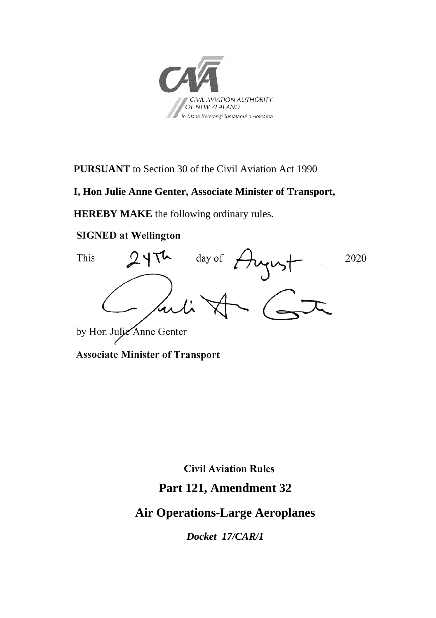

**PURSUANT** to Section 30 of the Civil Aviation Act 1990

#### **I, Hon Julie Anne Genter, Associate Minister of Transport,**

**HEREBY MAKE** the following ordinary rules.

#### **SIGNED at Wellington**



**Associate Minister of Transport** 

**Civil Aviation Rules** 

### **Part 121, Amendment 32**

## **Air Operations-Large Aeroplanes**

*Docket 17/CAR/1*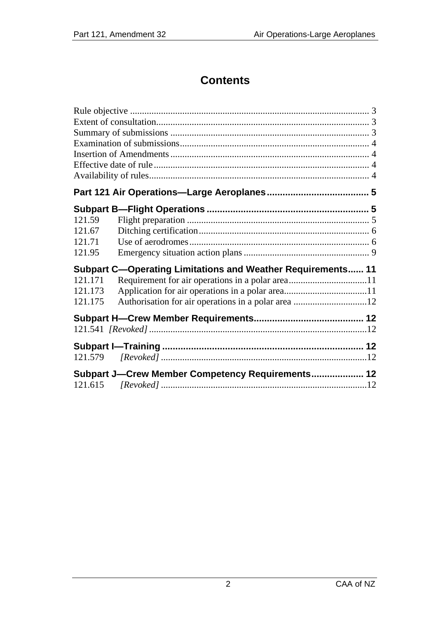# **Contents**

| 121.59                                                             |                                                  |  |
|--------------------------------------------------------------------|--------------------------------------------------|--|
| 121.67                                                             |                                                  |  |
| 121.71                                                             |                                                  |  |
| 121.95                                                             |                                                  |  |
| <b>Subpart C-Operating Limitations and Weather Requirements 11</b> |                                                  |  |
| 121.171                                                            |                                                  |  |
| 121.173                                                            |                                                  |  |
| 121.175                                                            |                                                  |  |
|                                                                    |                                                  |  |
|                                                                    |                                                  |  |
|                                                                    |                                                  |  |
|                                                                    |                                                  |  |
|                                                                    | Subpart J-Crew Member Competency Requirements 12 |  |
|                                                                    |                                                  |  |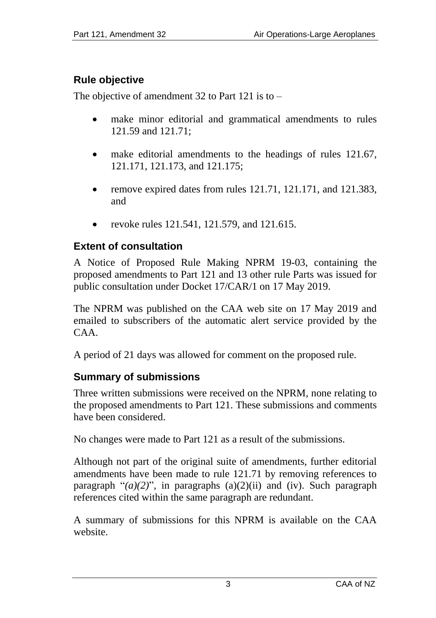### <span id="page-2-0"></span>**Rule objective**

The objective of amendment 32 to Part 121 is to –

- make minor editorial and grammatical amendments to rules 121.59 and 121.71;
- make editorial amendments to the headings of rules 121.67, 121.171, 121.173, and 121.175;
- remove expired dates from rules 121.71, 121.171, and 121.383, and
- revoke rules 121.541, 121.579, and 121.615.

#### <span id="page-2-1"></span>**Extent of consultation**

A Notice of Proposed Rule Making NPRM 19-03, containing the proposed amendments to Part 121 and 13 other rule Parts was issued for public consultation under Docket 17/CAR/1 on 17 May 2019.

The NPRM was published on the CAA web site on 17 May 2019 and emailed to subscribers of the automatic alert service provided by the CAA.

A period of 21 days was allowed for comment on the proposed rule.

### <span id="page-2-2"></span>**Summary of submissions**

Three written submissions were received on the NPRM, none relating to the proposed amendments to Part 121. These submissions and comments have been considered.

No changes were made to Part 121 as a result of the submissions.

Although not part of the original suite of amendments, further editorial amendments have been made to rule 121.71 by removing references to paragraph " $(a)(2)$ ", in paragraphs  $(a)(2)(ii)$  and  $(iv)$ . Such paragraph references cited within the same paragraph are redundant.

A summary of submissions for this NPRM is available on the CAA website.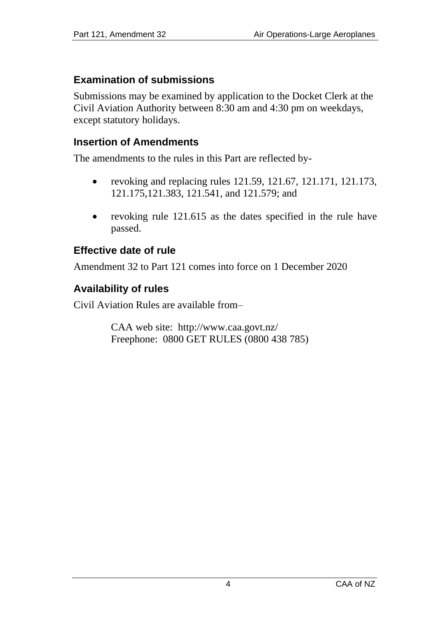#### <span id="page-3-0"></span>**Examination of submissions**

Submissions may be examined by application to the Docket Clerk at the Civil Aviation Authority between 8:30 am and 4:30 pm on weekdays, except statutory holidays.

#### <span id="page-3-1"></span>**Insertion of Amendments**

The amendments to the rules in this Part are reflected by-

- revoking and replacing rules  $121.59, 121.67, 121.171, 121.173$ , 121.175,121.383, 121.541, and 121.579; and
- revoking rule 121.615 as the dates specified in the rule have passed.

#### <span id="page-3-2"></span>**Effective date of rule**

Amendment 32 to Part 121 comes into force on 1 December 2020

#### <span id="page-3-3"></span>**Availability of rules**

Civil Aviation Rules are available from–

CAA web site: <http://www.caa.govt.nz/> Freephone: 0800 GET RULES (0800 438 785)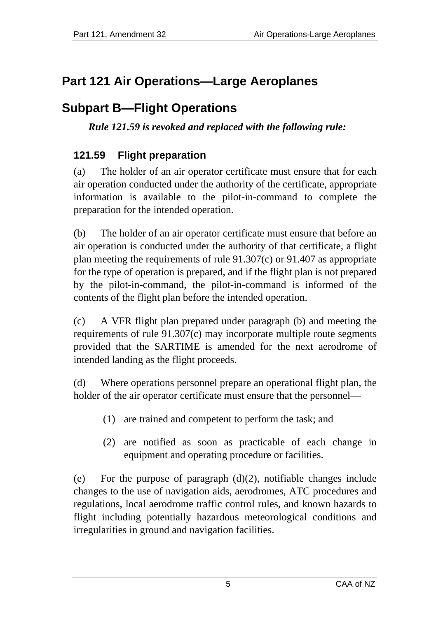# <span id="page-4-0"></span>**Part 121 Air Operations—Large Aeroplanes**

# <span id="page-4-1"></span>**Subpart B—Flight Operations**

*Rule 121.59 is revoked and replaced with the following rule:*

### <span id="page-4-2"></span>**121.59 Flight preparation**

(a) The holder of an air operator certificate must ensure that for each air operation conducted under the authority of the certificate, appropriate information is available to the pilot-in-command to complete the preparation for the intended operation.

(b) The holder of an air operator certificate must ensure that before an air operation is conducted under the authority of that certificate, a flight plan meeting the requirements of rule 91.307(c) or 91.407 as appropriate for the type of operation is prepared, and if the flight plan is not prepared by the pilot-in-command, the pilot-in-command is informed of the contents of the flight plan before the intended operation.

(c) A VFR flight plan prepared under paragraph (b) and meeting the requirements of rule 91.307(c) may incorporate multiple route segments provided that the SARTIME is amended for the next aerodrome of intended landing as the flight proceeds.

(d) Where operations personnel prepare an operational flight plan, the holder of the air operator certificate must ensure that the personnel—

- (1) are trained and competent to perform the task; and
- (2) are notified as soon as practicable of each change in equipment and operating procedure or facilities.

(e) For the purpose of paragraph (d)(2), notifiable changes include changes to the use of navigation aids, aerodromes, ATC procedures and regulations, local aerodrome traffic control rules, and known hazards to flight including potentially hazardous meteorological conditions and irregularities in ground and navigation facilities.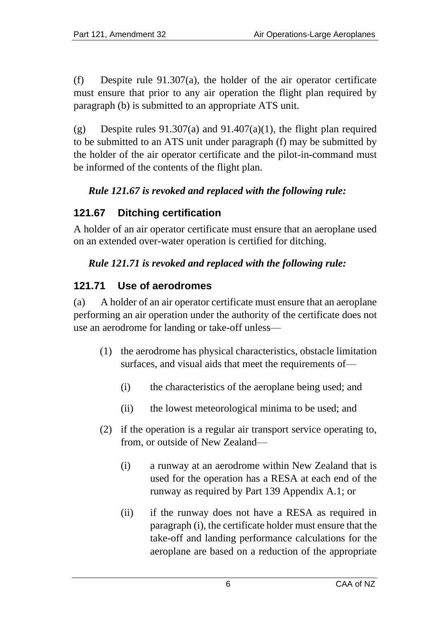(f) Despite rule 91.307(a), the holder of the air operator certificate must ensure that prior to any air operation the flight plan required by paragraph (b) is submitted to an appropriate ATS unit.

(g) Despite rules  $91.307(a)$  and  $91.407(a)(1)$ , the flight plan required to be submitted to an ATS unit under paragraph (f) may be submitted by the holder of the air operator certificate and the pilot-in-command must be informed of the contents of the flight plan.

### *Rule 121.67 is revoked and replaced with the following rule:*

### <span id="page-5-0"></span>**121.67 Ditching certification**

A holder of an air operator certificate must ensure that an aeroplane used on an extended over-water operation is certified for ditching.

### *Rule 121.71 is revoked and replaced with the following rule:*

## <span id="page-5-1"></span>**121.71 Use of aerodromes**

(a) A holder of an air operator certificate must ensure that an aeroplane performing an air operation under the authority of the certificate does not use an aerodrome for landing or take-off unless—

- (1) the aerodrome has physical characteristics, obstacle limitation surfaces, and visual aids that meet the requirements of—
	- (i) the characteristics of the aeroplane being used; and
	- (ii) the lowest meteorological minima to be used; and
- (2) if the operation is a regular air transport service operating to, from, or outside of New Zealand—
	- (i) a runway at an aerodrome within New Zealand that is used for the operation has a RESA at each end of the runway as required by Part 139 Appendix A.1; or
	- (ii) if the runway does not have a RESA as required in paragraph (i), the certificate holder must ensure that the take-off and landing performance calculations for the aeroplane are based on a reduction of the appropriate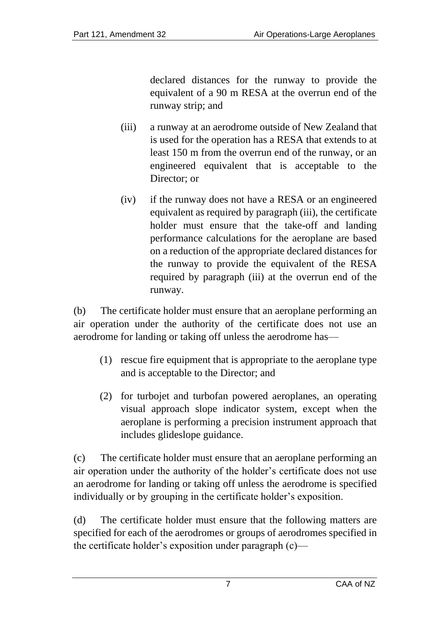declared distances for the runway to provide the equivalent of a 90 m RESA at the overrun end of the runway strip; and

- (iii) a runway at an aerodrome outside of New Zealand that is used for the operation has a RESA that extends to at least 150 m from the overrun end of the runway, or an engineered equivalent that is acceptable to the Director; or
- (iv) if the runway does not have a RESA or an engineered equivalent as required by paragraph (iii), the certificate holder must ensure that the take-off and landing performance calculations for the aeroplane are based on a reduction of the appropriate declared distances for the runway to provide the equivalent of the RESA required by paragraph (iii) at the overrun end of the runway.

(b) The certificate holder must ensure that an aeroplane performing an air operation under the authority of the certificate does not use an aerodrome for landing or taking off unless the aerodrome has—

- (1) rescue fire equipment that is appropriate to the aeroplane type and is acceptable to the Director; and
- (2) for turbojet and turbofan powered aeroplanes, an operating visual approach slope indicator system, except when the aeroplane is performing a precision instrument approach that includes glideslope guidance.

(c) The certificate holder must ensure that an aeroplane performing an air operation under the authority of the holder's certificate does not use an aerodrome for landing or taking off unless the aerodrome is specified individually or by grouping in the certificate holder's exposition.

(d) The certificate holder must ensure that the following matters are specified for each of the aerodromes or groups of aerodromes specified in the certificate holder's exposition under paragraph (c)—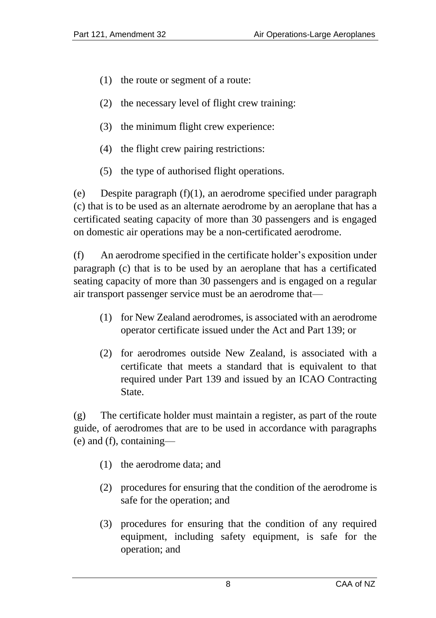- (1) the route or segment of a route:
- (2) the necessary level of flight crew training:
- (3) the minimum flight crew experience:
- (4) the flight crew pairing restrictions:
- (5) the type of authorised flight operations.

(e) Despite paragraph (f)(1), an aerodrome specified under paragraph (c) that is to be used as an alternate aerodrome by an aeroplane that has a certificated seating capacity of more than 30 passengers and is engaged on domestic air operations may be a non-certificated aerodrome.

(f) An aerodrome specified in the certificate holder's exposition under paragraph (c) that is to be used by an aeroplane that has a certificated seating capacity of more than 30 passengers and is engaged on a regular air transport passenger service must be an aerodrome that—

- (1) for New Zealand aerodromes, is associated with an aerodrome operator certificate issued under the Act and Part 139; or
- (2) for aerodromes outside New Zealand, is associated with a certificate that meets a standard that is equivalent to that required under Part 139 and issued by an ICAO Contracting State.

(g) The certificate holder must maintain a register, as part of the route guide, of aerodromes that are to be used in accordance with paragraphs (e) and (f), containing—

- (1) the aerodrome data; and
- (2) procedures for ensuring that the condition of the aerodrome is safe for the operation; and
- (3) procedures for ensuring that the condition of any required equipment, including safety equipment, is safe for the operation; and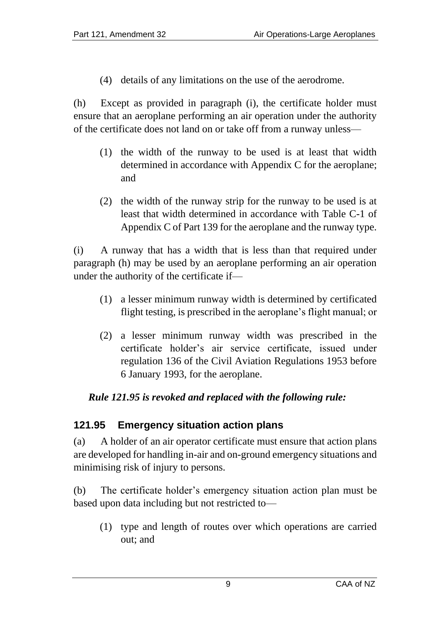(4) details of any limitations on the use of the aerodrome.

(h) Except as provided in paragraph (i), the certificate holder must ensure that an aeroplane performing an air operation under the authority of the certificate does not land on or take off from a runway unless—

- (1) the width of the runway to be used is at least that width determined in accordance with Appendix C for the aeroplane; and
- (2) the width of the runway strip for the runway to be used is at least that width determined in accordance with Table C-1 of Appendix C of Part 139 for the aeroplane and the runway type.

(i) A runway that has a width that is less than that required under paragraph (h) may be used by an aeroplane performing an air operation under the authority of the certificate if—

- (1) a lesser minimum runway width is determined by certificated flight testing, is prescribed in the aeroplane's flight manual; or
- (2) a lesser minimum runway width was prescribed in the certificate holder's air service certificate, issued under regulation 136 of the Civil Aviation Regulations 1953 before 6 January 1993, for the aeroplane.

#### *Rule 121.95 is revoked and replaced with the following rule:*

#### <span id="page-8-0"></span>**121.95 Emergency situation action plans**

(a) A holder of an air operator certificate must ensure that action plans are developed for handling in-air and on-ground emergency situations and minimising risk of injury to persons.

(b) The certificate holder's emergency situation action plan must be based upon data including but not restricted to—

(1) type and length of routes over which operations are carried out; and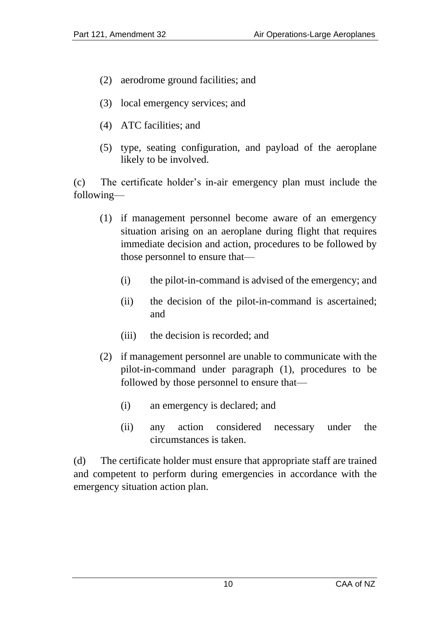- (2) aerodrome ground facilities; and
- (3) local emergency services; and
- (4) ATC facilities; and
- (5) type, seating configuration, and payload of the aeroplane likely to be involved.

(c) The certificate holder's in-air emergency plan must include the following—

- (1) if management personnel become aware of an emergency situation arising on an aeroplane during flight that requires immediate decision and action, procedures to be followed by those personnel to ensure that—
	- (i) the pilot-in-command is advised of the emergency; and
	- (ii) the decision of the pilot-in-command is ascertained; and
	- (iii) the decision is recorded; and
- (2) if management personnel are unable to communicate with the pilot-in-command under paragraph (1), procedures to be followed by those personnel to ensure that—
	- (i) an emergency is declared; and
	- (ii) any action considered necessary under the circumstances is taken.

<span id="page-9-0"></span>(d) The certificate holder must ensure that appropriate staff are trained and competent to perform during emergencies in accordance with the emergency situation action plan.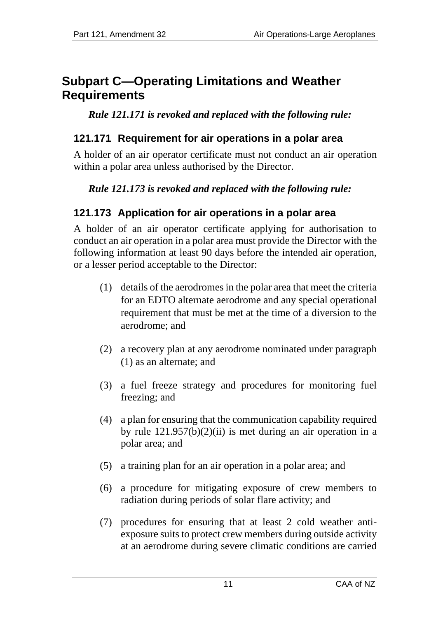# **Subpart C—Operating Limitations and Weather Requirements**

*Rule 121.171 is revoked and replaced with the following rule:*

#### <span id="page-10-0"></span>**121.171 Requirement for air operations in a polar area**

A holder of an air operator certificate must not conduct an air operation within a polar area unless authorised by the Director.

### *Rule 121.173 is revoked and replaced with the following rule:*

### <span id="page-10-1"></span>**121.173 Application for air operations in a polar area**

A holder of an air operator certificate applying for authorisation to conduct an air operation in a polar area must provide the Director with the following information at least 90 days before the intended air operation, or a lesser period acceptable to the Director:

- (1) details of the aerodromes in the polar area that meet the criteria for an EDTO alternate aerodrome and any special operational requirement that must be met at the time of a diversion to the aerodrome; and
- (2) a recovery plan at any aerodrome nominated under paragraph (1) as an alternate; and
- (3) a fuel freeze strategy and procedures for monitoring fuel freezing; and
- (4) a plan for ensuring that the communication capability required by rule 121.957(b)(2)(ii) is met during an air operation in a polar area; and
- (5) a training plan for an air operation in a polar area; and
- (6) a procedure for mitigating exposure of crew members to radiation during periods of solar flare activity; and
- (7) procedures for ensuring that at least 2 cold weather antiexposure suits to protect crew members during outside activity at an aerodrome during severe climatic conditions are carried